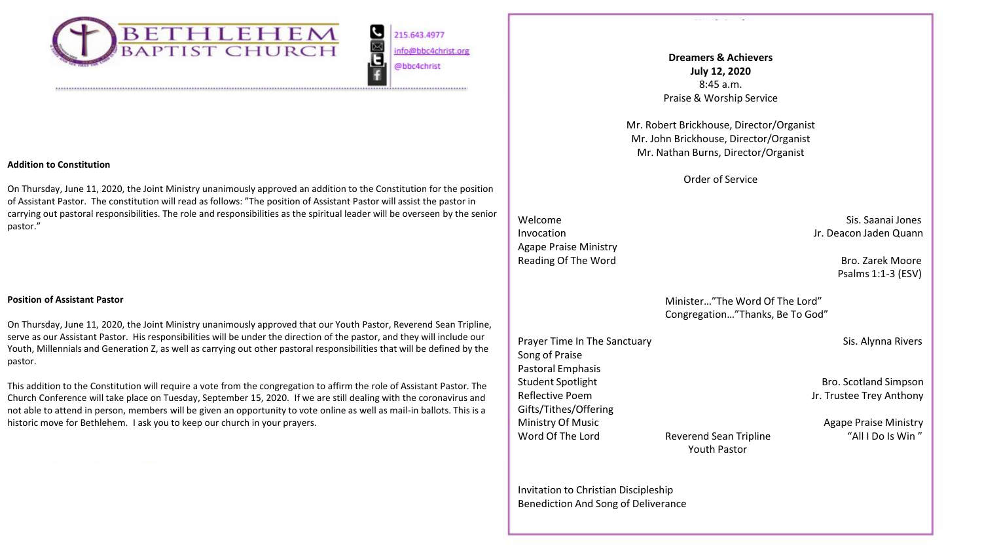

ت <mark>ها</mark> 215.643.4977 info@bbc4christ.org @bbc4christ

#### **Addition to Constitution**

On Thursday, June 11, 2020, the Joint Ministry unanimously approved an addition to the Constitution for the position of Assistant Pastor. The constitution will read as follows: "The position of Assistant Pastor will assist the pastor in carrying out pastoral responsibilities. The role and responsibilities as the spiritual leader will be overseen by the senior pastor."

#### **Position of Assistant Pastor**

On Thursday, June 11, 2020, the Joint Ministry unanimously approved that our Youth Pastor, Reverend Sean Tripline, serve as our Assistant Pastor. His responsibilities will be under the direction of the pastor, and they will include our Youth, Millennials and Generation Z, as well as carrying out other pastoral responsibilities that will be defined by the pastor.

This addition to the Constitution will require a vote from the congregation to affirm the role of Assistant Pastor. The Church Conference will take place on Tuesday, September 15, 2020. If we are still dealing with the coronavirus and not able to attend in person, members will be given an opportunity to vote online as well as mail-in ballots. This is a historic move for Bethlehem. I ask you to keep our church in your prayers.

**Dreamers & Achievers July 12, 2020**  8:45 a.m. Praise & Worship Service

Mr. Robert Brickhouse, Director/Organist Mr. John Brickhouse, Director/Organist Mr. Nathan Burns, Director/Organist

Order of Service

Agape Praise Ministry Reading Of The Word **Bro. 2008** Carek Moore

Welcome Sis. Saanai Jones Sis. Saanai Jones Sis. Saanai Jones Sis. Saanai Jones Sis. Saanai Jones Sis. Saanai Jones Sis. Saanai Jones Sis. Saanai Jones Sis. Saanai Jones Sis. Saanai Jones Sis. Saanai Jones Sis. Saanai Jone Invocation **Invocation** Jr. Deacon Jaden Quann

Psalms 1:1-3 (ESV)

Minister…"The Word Of The Lord" Congregation…"Thanks, Be To God"

Prayer Time In The Sanctuary Sis. Alynna Rivers Song of Praise Pastoral Emphasis Student Spotlight **Bro.** Scotland Simpson Reflective Poem Jr. Trustee Trey Anthony Gifts/Tithes/Offering Ministry Of Music **Agape Praise Ministry Of Music** Agape Praise Ministry Word Of The Lord **Reverend Sean Tripline** Tripline The Interval of The Lord Reverend Sean Tripline Tripline The Min T

Youth Pastor

Invitation to Christian Discipleship

Benediction And Song of Deliverance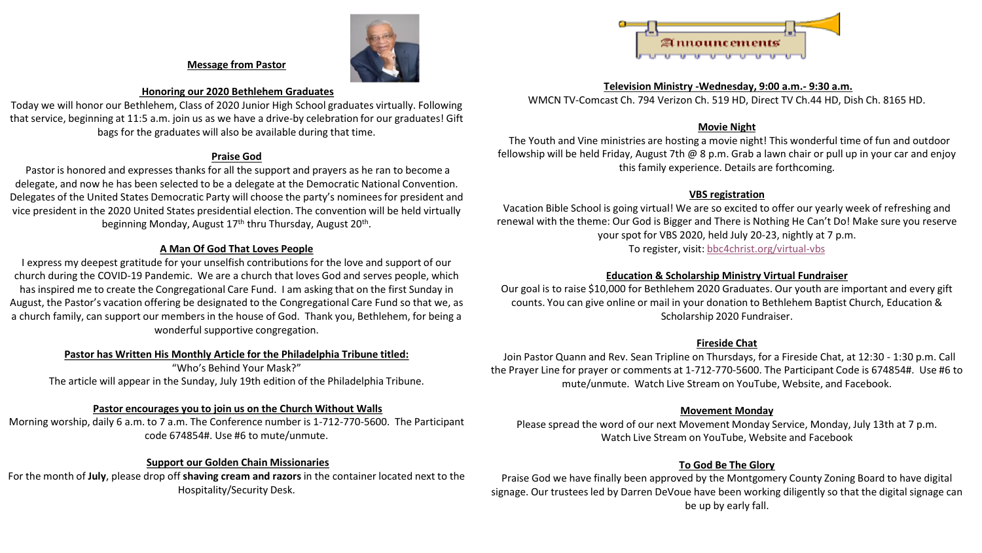

## **Message from Pastor**

### **Honoring our 2020 Bethlehem Graduates**

Today we will honor our Bethlehem, Class of 2020 Junior High School graduates virtually. Following that service, beginning at 11:5 a.m. join us as we have a drive-by celebration for our graduates! Gift bags for the graduates will also be available during that time.

## **Praise God**

Pastor is honored and expresses thanks for all the support and prayers as he ran to become a delegate, and now he has been selected to be a delegate at the Democratic National Convention. Delegates of the United States Democratic Party will choose the party's nominees for president and vice president in the 2020 United States presidential election. The convention will be held virtually beginning Monday, August 17<sup>th</sup> thru Thursday, August 20<sup>th</sup>.

# **A Man Of God That Loves People**

I express my deepest gratitude for your unselfish contributions for the love and support of our church during the COVID-19 Pandemic. We are a church that loves God and serves people, which has inspired me to create the Congregational Care Fund. I am asking that on the first Sunday in August, the Pastor's vacation offering be designated to the Congregational Care Fund so that we, as a church family, can support our members in the house of God. Thank you, Bethlehem, for being a wonderful supportive congregation.

## **Pastor has Written His Monthly Article for the Philadelphia Tribune titled:**

"Who's Behind Your Mask?" The article will appear in the Sunday, July 19th edition of the Philadelphia Tribune.

## **Pastor encourages you to join us on the Church Without Walls**

Morning worship, daily 6 a.m. to 7 a.m. The Conference number is 1-712-770-5600. The Participant code 674854#. Use #6 to mute/unmute.

## **Support our Golden Chain Missionaries**

For the month of **July**, please drop off **shaving cream and razors** in the container located next to the Hospitality/Security Desk.



#### **Television Ministry -Wednesday, 9:00 a.m.- 9:30 a.m.**

WMCN TV-Comcast Ch. 794 Verizon Ch. 519 HD, Direct TV Ch.44 HD, Dish Ch. 8165 HD.

## **Movie Night**

The Youth and Vine ministries are hosting a movie night! This wonderful time of fun and outdoor fellowship will be held Friday, August 7th @ 8 p.m. Grab a lawn chair or pull up in your car and enjoy this family experience. Details are forthcoming.

# **VBS registration**

Vacation Bible School is going virtual! We are so excited to offer our yearly week of refreshing and renewal with the theme: Our God is Bigger and There is Nothing He Can't Do! Make sure you reserve your spot for VBS 2020, held July 20-23, nightly at 7 p.m. To register, visit: [bbc4christ.org/virtual-vbs](http://www.bbc4christ.org/virtual-vbs)

## **Education & Scholarship Ministry Virtual Fundraiser**

Our goal is to raise \$10,000 for Bethlehem 2020 Graduates. Our youth are important and every gift counts. You can give online or mail in your donation to Bethlehem Baptist Church, Education & Scholarship 2020 Fundraiser.

## **Fireside Chat**

Join Pastor Quann and Rev. Sean Tripline on Thursdays, for a Fireside Chat, at 12:30 - 1:30 p.m. Call the Prayer Line for prayer or comments at 1-712-770-5600. The Participant Code is 674854#. Use #6 to mute/unmute. Watch Live Stream on YouTube, Website, and Facebook.

## **Movement Monday**

Please spread the word of our next Movement Monday Service, Monday, July 13th at 7 p.m. Watch Live Stream on YouTube, Website and Facebook

# **To God Be The Glory**

Praise God we have finally been approved by the Montgomery County Zoning Board to have digital signage. Our trustees led by Darren DeVoue have been working diligently so that the digital signage can be up by early fall.